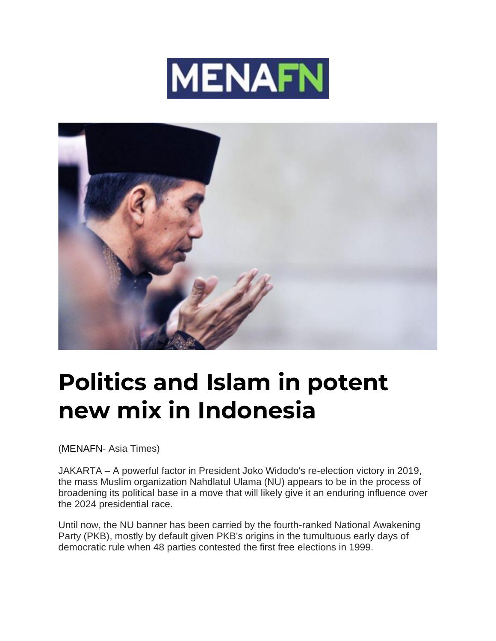



## **Politics and Islam in potent new mix in Indonesia**

[\(MENAFN-](https://menafn.com/) Asia Times)

JAKARTA – A powerful factor in President Joko Widodo's re-election victory in 2019, the mass Muslim organization Nahdlatul Ulama (NU) appears to be in the process of broadening its political base in a move that will likely give it an enduring influence over the 2024 presidential race.

Until now, the NU banner has been carried by the fourth-ranked National Awakening Party (PKB), mostly by default given PKB's origins in the tumultuous early days of democratic rule when 48 parties contested the first free elections in 1999.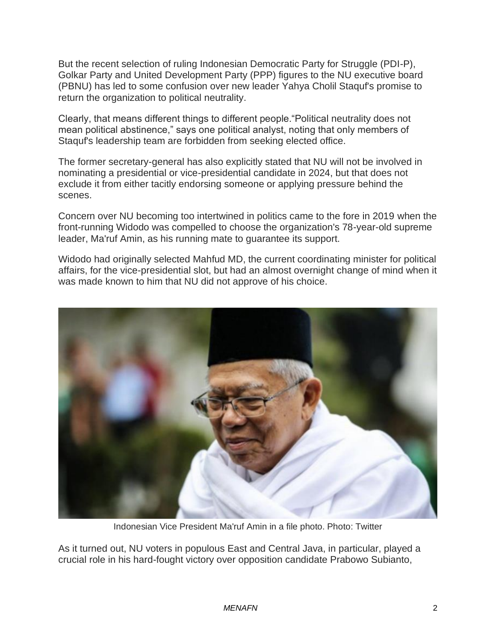But the recent selection of ruling Indonesian Democratic Party for Struggle (PDI-P), Golkar Party and United Development Party (PPP) figures to the NU executive board (PBNU) has led to some confusion over new leader Yahya Cholil Staquf's promise to return the organization to political neutrality.

Clearly, that means different things to different people."Political neutrality does not mean political abstinence," says one political analyst, noting that only members of Staquf's leadership team are forbidden from seeking elected office.

The former secretary-general has also explicitly stated that NU will not be involved in nominating a presidential or vice-presidential candidate in 2024, but that does not exclude it from either tacitly endorsing someone or applying pressure behind the scenes.

Concern over NU becoming too intertwined in politics came to the fore in 2019 when the front-running Widodo was compelled to choose the organization's 78-year-old supreme leader, Ma'ruf Amin, as his running mate to guarantee its support.

Widodo had originally selected Mahfud MD, the current coordinating minister for political affairs, for the vice-presidential slot, but had an almost overnight change of mind when it was made known to him that NU did not approve of his choice.



Indonesian Vice President Ma'ruf Amin in a file photo. Photo: Twitter

As it turned out, NU voters in populous East and Central Java, in particular, played a crucial role in his hard-fought victory over opposition candidate Prabowo Subianto,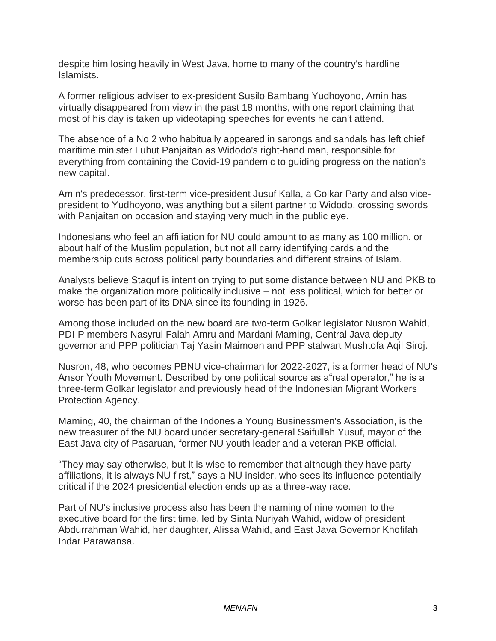despite him losing heavily in West Java, home to many of the country's hardline Islamists.

A former religious adviser to ex-president Susilo Bambang Yudhoyono, Amin has virtually disappeared from view in the past 18 months, with one report claiming that most of his day is taken up videotaping speeches for events he can't attend.

The absence of a No 2 who habitually appeared in sarongs and sandals has left chief maritime minister Luhut Panjaitan as Widodo's right-hand man, responsible for everything from containing the Covid-19 pandemic to guiding progress on the nation's new capital.

Amin's predecessor, first-term vice-president Jusuf Kalla, a Golkar Party and also vicepresident to Yudhoyono, was anything but a silent partner to Widodo, crossing swords with Panjaitan on occasion and staying very much in the public eye.

Indonesians who feel an affiliation for NU could amount to as many as 100 million, or about half of the Muslim population, but not all carry identifying cards and the membership cuts across political party boundaries and different strains of Islam.

Analysts believe Staquf is intent on trying to put some distance between NU and PKB to make the organization more politically inclusive – not less political, which for better or worse has been part of its DNA since its founding in 1926.

Among those included on the new board are two-term Golkar legislator Nusron Wahid, PDI-P members Nasyrul Falah Amru and Mardani Maming, Central Java deputy governor and PPP politician Taj Yasin Maimoen and PPP stalwart Mushtofa Aqil Siroj.

Nusron, 48, who becomes PBNU vice-chairman for 2022-2027, is a former head of NU's Ansor Youth Movement. Described by one political source as a"real operator," he is a three-term Golkar legislator and previously head of the Indonesian Migrant Workers Protection Agency.

Maming, 40, the chairman of the Indonesia Young Businessmen's Association, is the new treasurer of the NU board under secretary-general Saifullah Yusuf, mayor of the East Java city of Pasaruan, former NU youth leader and a veteran PKB official.

"They may say otherwise, but It is wise to remember that although they have party affiliations, it is always NU first," says a NU insider, who sees its influence potentially critical if the 2024 presidential election ends up as a three-way race.

Part of NU's inclusive process also has been the naming of nine women to the executive board for the first time, led by Sinta Nuriyah Wahid, widow of president Abdurrahman Wahid, her daughter, Alissa Wahid, and East Java Governor Khofifah Indar Parawansa.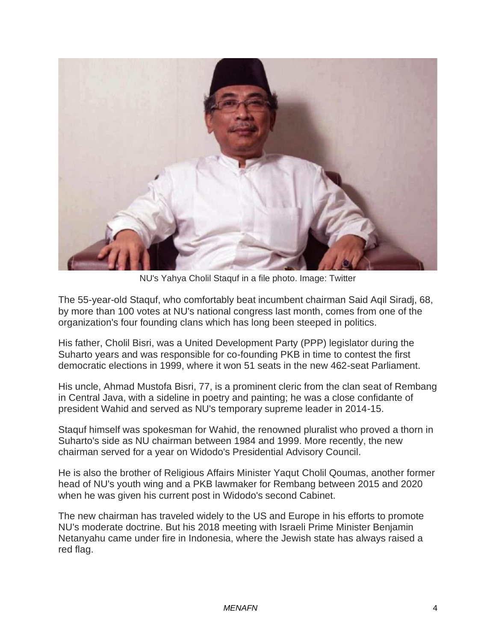

NU's Yahya Cholil Staquf in a file photo. Image: Twitter

The 55-year-old Staquf, who comfortably beat incumbent chairman Said Aqil Siradj, 68, by more than 100 votes at NU's national congress last month, comes from one of the organization's four founding clans which has long been steeped in politics.

His father, Cholil Bisri, was a United Development Party (PPP) legislator during the Suharto years and was responsible for co-founding PKB in time to contest the first democratic elections in 1999, where it won 51 seats in the new 462-seat Parliament.

His uncle, Ahmad Mustofa Bisri, 77, is a prominent cleric from the clan seat of Rembang in Central Java, with a sideline in poetry and painting; he was a close confidante of president Wahid and served as NU's temporary supreme leader in 2014-15.

Staquf himself was spokesman for Wahid, the renowned pluralist who proved a thorn in Suharto's side as NU chairman between 1984 and 1999. More recently, the new chairman served for a year on Widodo's Presidential Advisory Council.

He is also the brother of Religious Affairs Minister Yaqut Cholil Qoumas, another former head of NU's youth wing and a PKB lawmaker for Rembang between 2015 and 2020 when he was given his current post in Widodo's second Cabinet.

The new chairman has traveled widely to the US and Europe in his efforts to promote NU's moderate doctrine. But his 2018 meeting with Israeli Prime Minister Benjamin Netanyahu came under fire in Indonesia, where the Jewish state has always raised a red flag.